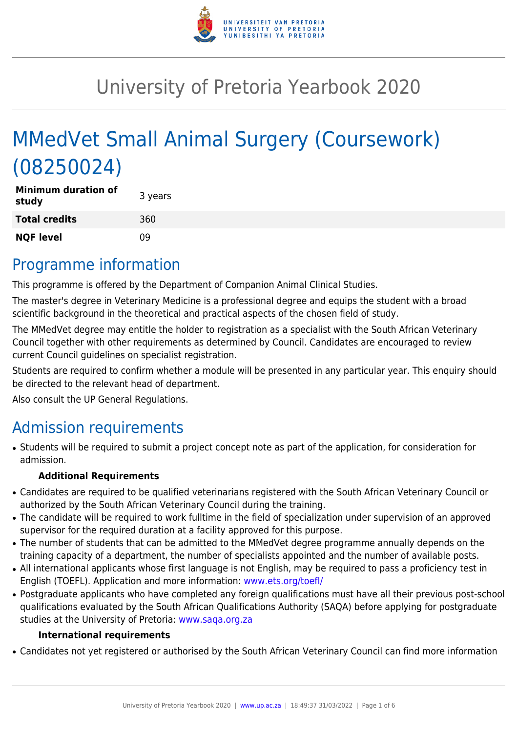

# University of Pretoria Yearbook 2020

# MMedVet Small Animal Surgery (Coursework) (08250024)

| <b>Minimum duration of</b><br>study | 3 years |
|-------------------------------------|---------|
| <b>Total credits</b>                | 360     |
| <b>NQF level</b>                    | 09      |

### Programme information

This programme is offered by the Department of Companion Animal Clinical Studies.

The master's degree in Veterinary Medicine is a professional degree and equips the student with a broad scientific background in the theoretical and practical aspects of the chosen field of study.

The MMedVet degree may entitle the holder to registration as a specialist with the South African Veterinary Council together with other requirements as determined by Council. Candidates are encouraged to review current Council guidelines on specialist registration.

Students are required to confirm whether a module will be presented in any particular year. This enquiry should be directed to the relevant head of department.

Also consult the UP General Regulations.

# Admission requirements

• Students will be required to submit a project concept note as part of the application, for consideration for admission.

#### **Additional Requirements**

- Candidates are required to be qualified veterinarians registered with the South African Veterinary Council or authorized by the South African Veterinary Council during the training.
- The candidate will be required to work fulltime in the field of specialization under supervision of an approved supervisor for the required duration at a facility approved for this purpose.
- The number of students that can be admitted to the MMedVet degree programme annually depends on the training capacity of a department, the number of specialists appointed and the number of available posts.
- All international applicants whose first language is not English, may be required to pass a proficiency test in English (TOEFL). Application and more information: [www.ets.org/toefl/](http://www.ets.org/toefl/)
- Postgraduate applicants who have completed any foreign qualifications must have all their previous post-school qualifications evaluated by the South African Qualifications Authority (SAQA) before applying for postgraduate studies at the University of Pretoria: [www.saqa.org.za](http://www.saqa.org.za)

#### **International requirements**

• Candidates not yet registered or authorised by the South African Veterinary Council can find more information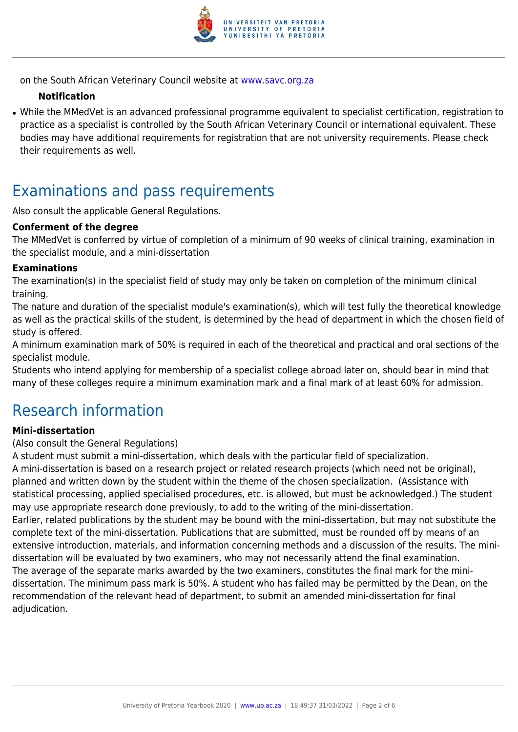

on the South African Veterinary Council website at [www.savc.org.za](http://www.savc.org.za)

#### **Notification**

• While the MMedVet is an advanced professional programme equivalent to specialist certification, registration to practice as a specialist is controlled by the South African Veterinary Council or international equivalent. These bodies may have additional requirements for registration that are not university requirements. Please check their requirements as well.

### Examinations and pass requirements

Also consult the applicable General Regulations.

#### **Conferment of the degree**

The MMedVet is conferred by virtue of completion of a minimum of 90 weeks of clinical training, examination in the specialist module, and a mini-dissertation

#### **Examinations**

The examination(s) in the specialist field of study may only be taken on completion of the minimum clinical training.

The nature and duration of the specialist module's examination(s), which will test fully the theoretical knowledge as well as the practical skills of the student, is determined by the head of department in which the chosen field of study is offered.

A minimum examination mark of 50% is required in each of the theoretical and practical and oral sections of the specialist module.

Students who intend applying for membership of a specialist college abroad later on, should bear in mind that many of these colleges require a minimum examination mark and a final mark of at least 60% for admission.

### Research information

#### **Mini-dissertation**

(Also consult the General Regulations)

A student must submit a mini-dissertation, which deals with the particular field of specialization.

A mini-dissertation is based on a research project or related research projects (which need not be original), planned and written down by the student within the theme of the chosen specialization. (Assistance with statistical processing, applied specialised procedures, etc. is allowed, but must be acknowledged.) The student may use appropriate research done previously, to add to the writing of the mini-dissertation. Earlier, related publications by the student may be bound with the mini-dissertation, but may not substitute the complete text of the mini-dissertation. Publications that are submitted, must be rounded off by means of an extensive introduction, materials, and information concerning methods and a discussion of the results. The minidissertation will be evaluated by two examiners, who may not necessarily attend the final examination. The average of the separate marks awarded by the two examiners, constitutes the final mark for the minidissertation. The minimum pass mark is 50%. A student who has failed may be permitted by the Dean, on the recommendation of the relevant head of department, to submit an amended mini-dissertation for final adjudication.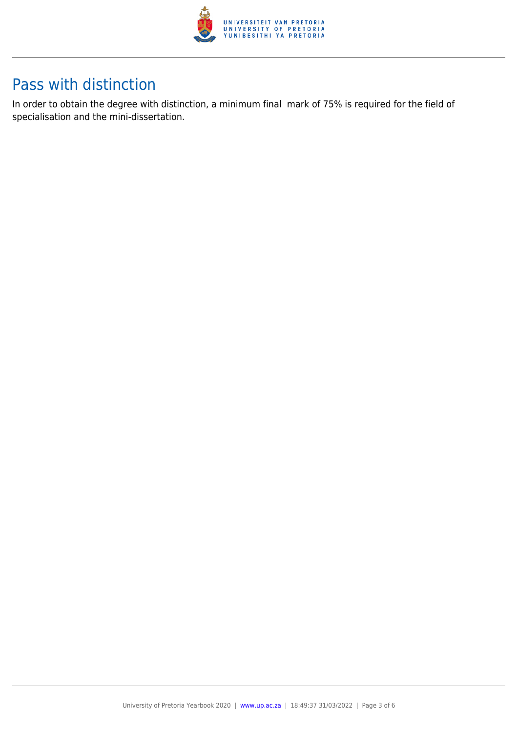

### Pass with distinction

In order to obtain the degree with distinction, a minimum final mark of 75% is required for the field of specialisation and the mini-dissertation.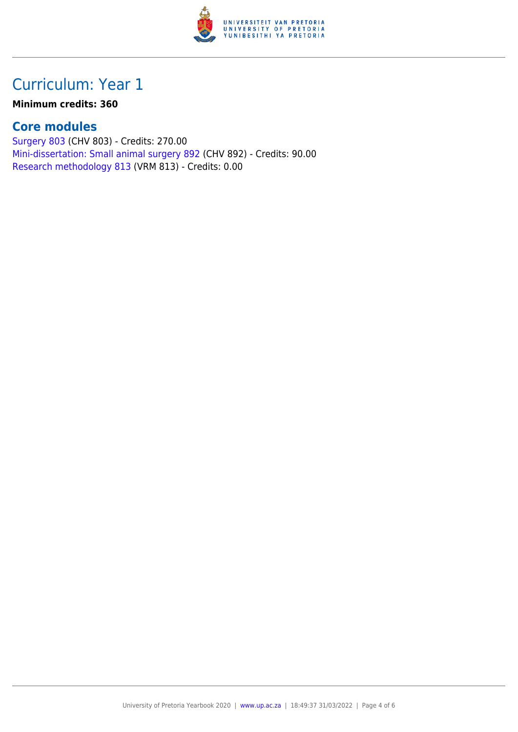

## Curriculum: Year 1

#### **Minimum credits: 360**

#### **Core modules**

[Surgery 803](https://www.up.ac.za/faculty-of-education/yearbooks/2020/modules/view/CHV 803) (CHV 803) - Credits: 270.00 [Mini-dissertation: Small animal surgery 892](https://www.up.ac.za/faculty-of-education/yearbooks/2020/modules/view/CHV 892) (CHV 892) - Credits: 90.00 [Research methodology 813](https://www.up.ac.za/faculty-of-education/yearbooks/2020/modules/view/VRM 813) (VRM 813) - Credits: 0.00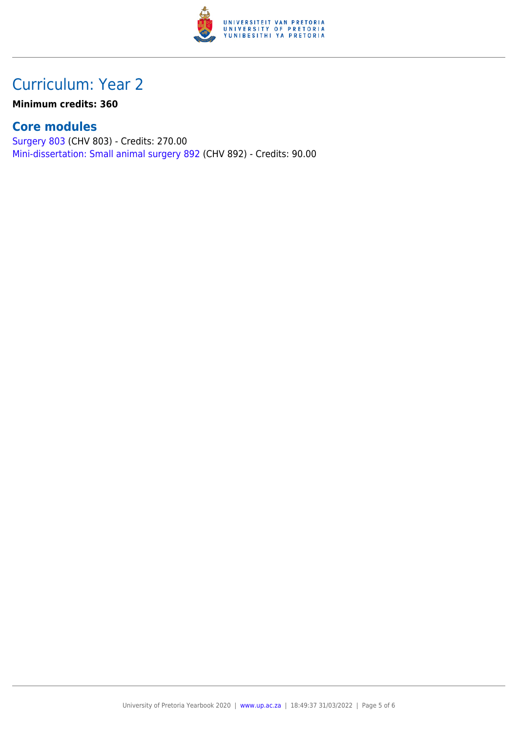

## Curriculum: Year 2

**Minimum credits: 360**

### **Core modules**

[Surgery 803](https://www.up.ac.za/faculty-of-education/yearbooks/2020/modules/view/CHV 803) (CHV 803) - Credits: 270.00 [Mini-dissertation: Small animal surgery 892](https://www.up.ac.za/faculty-of-education/yearbooks/2020/modules/view/CHV 892) (CHV 892) - Credits: 90.00